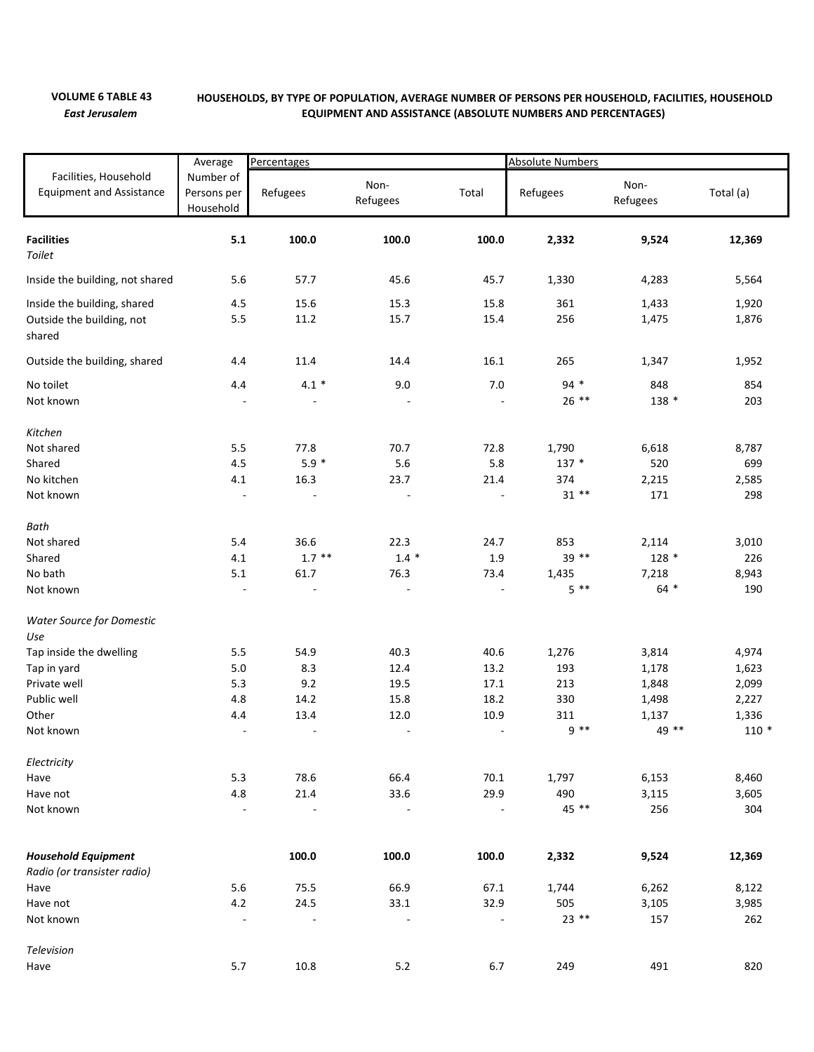## **VOLUME 6 TABLE 43** *East Jerusalem*

## **HOUSEHOLDS, BY TYPE OF POPULATION, AVERAGE NUMBER OF PERSONS PER HOUSEHOLD, FACILITIES, HOUSEHOLD EQUIPMENT AND ASSISTANCE (ABSOLUTE NUMBERS AND PERCENTAGES)**

|                                                                                             | Average                                                     | Percentages                                                    |                                                                  |                                                                  | <b>Absolute Numbers</b>                    |                                                    |                                                      |  |
|---------------------------------------------------------------------------------------------|-------------------------------------------------------------|----------------------------------------------------------------|------------------------------------------------------------------|------------------------------------------------------------------|--------------------------------------------|----------------------------------------------------|------------------------------------------------------|--|
| Facilities, Household<br><b>Equipment and Assistance</b>                                    | Number of<br>Persons per<br>Household                       | Refugees                                                       | Non-<br>Refugees                                                 | Total                                                            | Refugees                                   | Non-<br>Refugees                                   | Total (a)                                            |  |
| <b>Facilities</b><br>Toilet                                                                 | 5.1                                                         | 100.0                                                          | 100.0                                                            | 100.0                                                            | 2,332                                      | 9,524                                              | 12,369                                               |  |
| Inside the building, not shared                                                             | 5.6                                                         | 57.7                                                           | 45.6                                                             | 45.7                                                             | 1,330                                      | 4,283                                              | 5,564                                                |  |
| Inside the building, shared<br>Outside the building, not<br>shared                          | 4.5<br>5.5                                                  | 15.6<br>11.2                                                   | 15.3<br>15.7                                                     | 15.8<br>15.4                                                     | 361<br>256                                 | 1,433<br>1,475                                     | 1,920<br>1,876                                       |  |
| Outside the building, shared                                                                | 4.4                                                         | 11.4                                                           | 14.4                                                             | 16.1                                                             | 265                                        | 1,347                                              | 1,952                                                |  |
| No toilet<br>Not known                                                                      | 4.4<br>$\overline{\phantom{a}}$                             | $4.1 *$                                                        | 9.0                                                              | 7.0                                                              | $94 *$<br>$26$ **                          | 848<br>138 *                                       | 854<br>203                                           |  |
| Kitchen<br>Not shared<br>Shared<br>No kitchen<br>Not known                                  | 5.5<br>4.5<br>4.1<br>$\Box$                                 | 77.8<br>$5.9 *$<br>16.3<br>$\overline{\phantom{a}}$            | 70.7<br>5.6<br>23.7<br>$\sim$                                    | 72.8<br>5.8<br>21.4                                              | 1,790<br>137 *<br>374<br>$31**$            | 6,618<br>520<br>2,215<br>171                       | 8,787<br>699<br>2,585<br>298                         |  |
| Bath<br>Not shared<br>Shared<br>No bath<br>Not known                                        | 5.4<br>4.1<br>5.1<br>$\overline{\phantom{a}}$               | 36.6<br>$1.7***$<br>61.7                                       | 22.3<br>$1.4 *$<br>76.3                                          | 24.7<br>1.9<br>73.4                                              | 853<br>39 **<br>1,435<br>$5 * *$           | 2,114<br>$128 *$<br>7,218<br>$64 *$                | 3,010<br>226<br>8,943<br>190                         |  |
| <b>Water Source for Domestic</b><br>Use                                                     |                                                             |                                                                |                                                                  |                                                                  |                                            |                                                    |                                                      |  |
| Tap inside the dwelling<br>Tap in yard<br>Private well<br>Public well<br>Other<br>Not known | 5.5<br>5.0<br>5.3<br>4.8<br>4.4<br>$\overline{\phantom{a}}$ | 54.9<br>8.3<br>9.2<br>14.2<br>13.4<br>$\overline{\phantom{a}}$ | 40.3<br>12.4<br>19.5<br>15.8<br>12.0<br>$\overline{\phantom{a}}$ | 40.6<br>13.2<br>17.1<br>18.2<br>10.9<br>$\overline{\phantom{a}}$ | 1,276<br>193<br>213<br>330<br>311<br>$9**$ | 3,814<br>1,178<br>1,848<br>1,498<br>1,137<br>49 ** | 4,974<br>1,623<br>2,099<br>2,227<br>1,336<br>$110 *$ |  |
| Electricity<br>Have<br>Have not<br>Not known                                                | 5.3<br>4.8<br>÷,                                            | 78.6<br>21.4<br>$\overline{\phantom{a}}$                       | 66.4<br>33.6<br>$\overline{\phantom{a}}$                         | 70.1<br>29.9<br>$\blacksquare$                                   | 1,797<br>490<br>45 **                      | 6,153<br>3,115<br>256                              | 8,460<br>3,605<br>304                                |  |
| <b>Household Equipment</b><br>Radio (or transister radio)                                   |                                                             | 100.0                                                          | 100.0                                                            | 100.0                                                            | 2,332                                      | 9,524                                              | 12,369                                               |  |
| Have<br>Have not<br>Not known                                                               | 5.6<br>4.2<br>$\Box$                                        | 75.5<br>24.5<br>$\overline{\phantom{a}}$                       | 66.9<br>33.1<br>$\overline{a}$                                   | 67.1<br>32.9                                                     | 1,744<br>505<br>$23$ **                    | 6,262<br>3,105<br>157                              | 8,122<br>3,985<br>262                                |  |
| Television<br>Have                                                                          | 5.7                                                         | 10.8                                                           | 5.2                                                              | 6.7                                                              | 249                                        | 491                                                | 820                                                  |  |